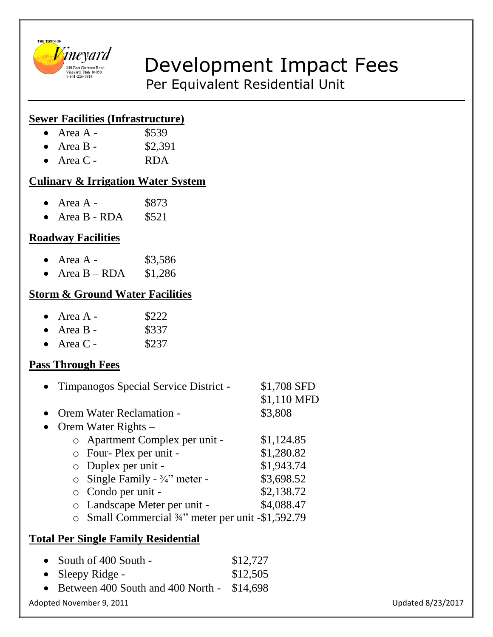

# $\nu_{\frac{240 \text{ Edd} \text{ Germon} R \text{ Bdd}}{2401226 + 1929}}$  Development Impact Fees

Per Equivalent Residential Unit

### **Sewer Facilities (Infrastructure)**

- Area  $A -$  \$539
- Area B  $$2,391$
- Area C RDA

#### **Culinary & Irrigation Water System**

- Area  $A -$  \$873
- Area B RDA  $$521$

# **Roadway Facilities**

- Area A  $$3,586$
- Area  $B RDA$  \$1,286

#### **Storm & Ground Water Facilities**

- Area  $A -$  \$222
- Area B  $$337$
- Area C \$237

## **Pass Through Fees**

| $\bullet$ | Timpanogos Special Service District -              | \$1,708 SFD<br>\$1,110 MFD |
|-----------|----------------------------------------------------|----------------------------|
| $\bullet$ | <b>Orem Water Reclamation -</b>                    | \$3,808                    |
| $\bullet$ | Orem Water Rights –                                |                            |
|           | o Apartment Complex per unit -                     | \$1,124.85                 |
|           | o Four-Plex per unit -                             | \$1,280.82                 |
|           | $\circ$ Duplex per unit -                          | \$1,943.74                 |
|           | $\circ$ Single Family - 3/4" meter -               | \$3,698.52                 |
|           | $\circ$ Condo per unit -                           | \$2,138.72                 |
|           | o Landscape Meter per unit -                       | \$4,088.47                 |
|           | o Small Commercial 3/4" meter per unit -\$1,592.79 |                            |

#### **Total Per Single Family Residential**

| • South of $400$ South -                      | \$12,727 |                   |
|-----------------------------------------------|----------|-------------------|
| • Sleepy Ridge -                              | \$12,505 |                   |
| • Between 400 South and 400 North - $$14,698$ |          |                   |
| Adopted November 9, 2011                      |          | Updated 8/23/2017 |